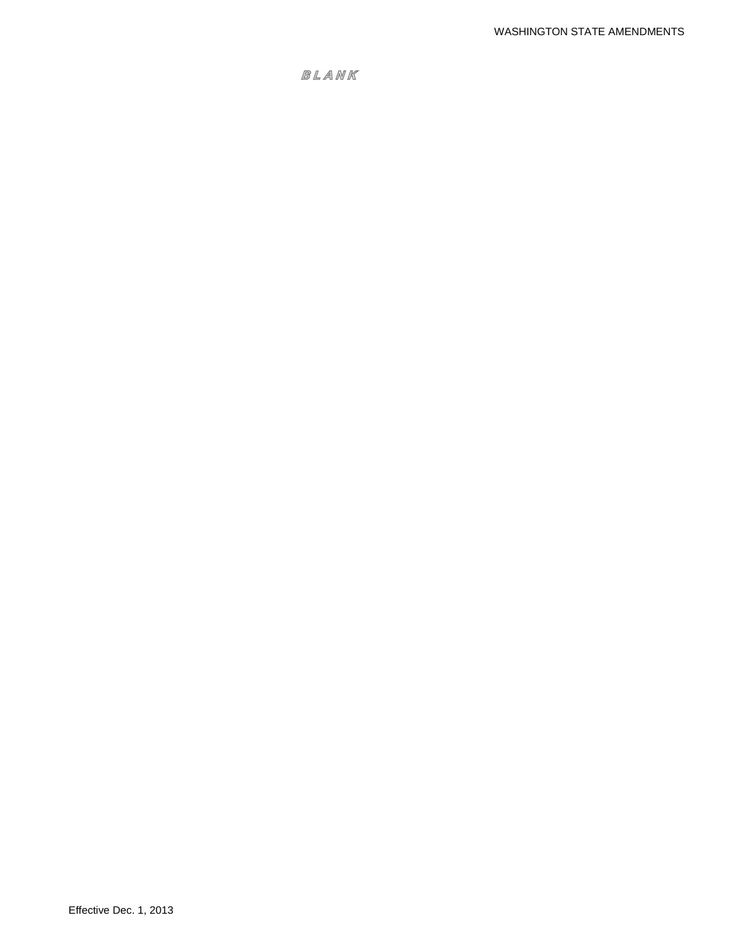BLANK